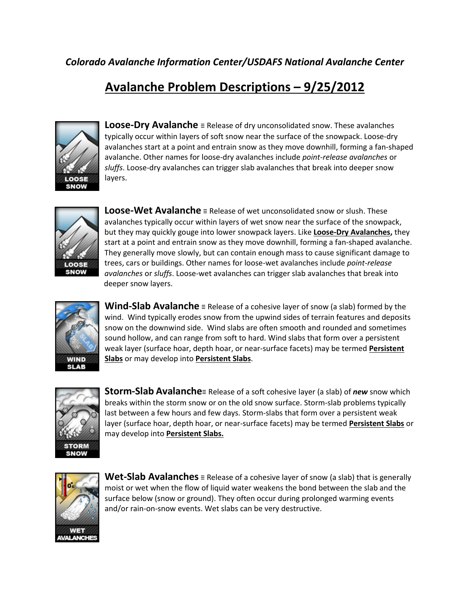## **Avalanche Problem Descriptions – 9/25/2012**



**Loose-Dry Avalanche** ≡ Release of dry unconsolidated snow. These avalanches typically occur within layers of soft snow near the surface of the snowpack. Loose-dry avalanches start at a point and entrain snow as they move downhill, forming a fan-shaped avalanche. Other names for loose-dry avalanches include *point-release avalanches* or *sluffs*. Loose-dry avalanches can trigger slab avalanches that break into deeper snow layers.



**Loose-Wet Avalanche** ≡ Release of wet unconsolidated snow or slush. These avalanches typically occur within layers of wet snow near the surface of the snowpack, but they may quickly gouge into lower snowpack layers. Like **Loose-Dry Avalanches,** they start at a point and entrain snow as they move downhill, forming a fan-shaped avalanche. They generally move slowly, but can contain enough mass to cause significant damage to trees, cars or buildings. Other names for loose-wet avalanches include *point-release avalanches* or *sluffs*. Loose-wet avalanches can trigger slab avalanches that break into deeper snow layers.



**Wind-Slab Avalanche** ≡ Release of a cohesive layer of snow (a slab) formed by the wind. Wind typically erodes snow from the upwind sides of terrain features and deposits snow on the downwind side. Wind slabs are often smooth and rounded and sometimes sound hollow, and can range from soft to hard. Wind slabs that form over a persistent weak layer (surface hoar, depth hoar, or near-surface facets) may be termed **Persistent Slabs** or may develop into **Persistent Slabs**.



**Storm-Slab Avalanche**≡ Release of a soft cohesive layer (a slab) of *new* snow which breaks within the storm snow or on the old snow surface. Storm-slab problems typically last between a few hours and few days. Storm-slabs that form over a persistent weak layer (surface hoar, depth hoar, or near-surface facets) may be termed **Persistent Slabs** or may develop into **Persistent Slabs.**



**Wet-Slab Avalanches** ≡ Release of a cohesive layer of snow (a slab) that is generally moist or wet when the flow of liquid water weakens the bond between the slab and the surface below (snow or ground). They often occur during prolonged warming events and/or rain-on-snow events. Wet slabs can be very destructive.